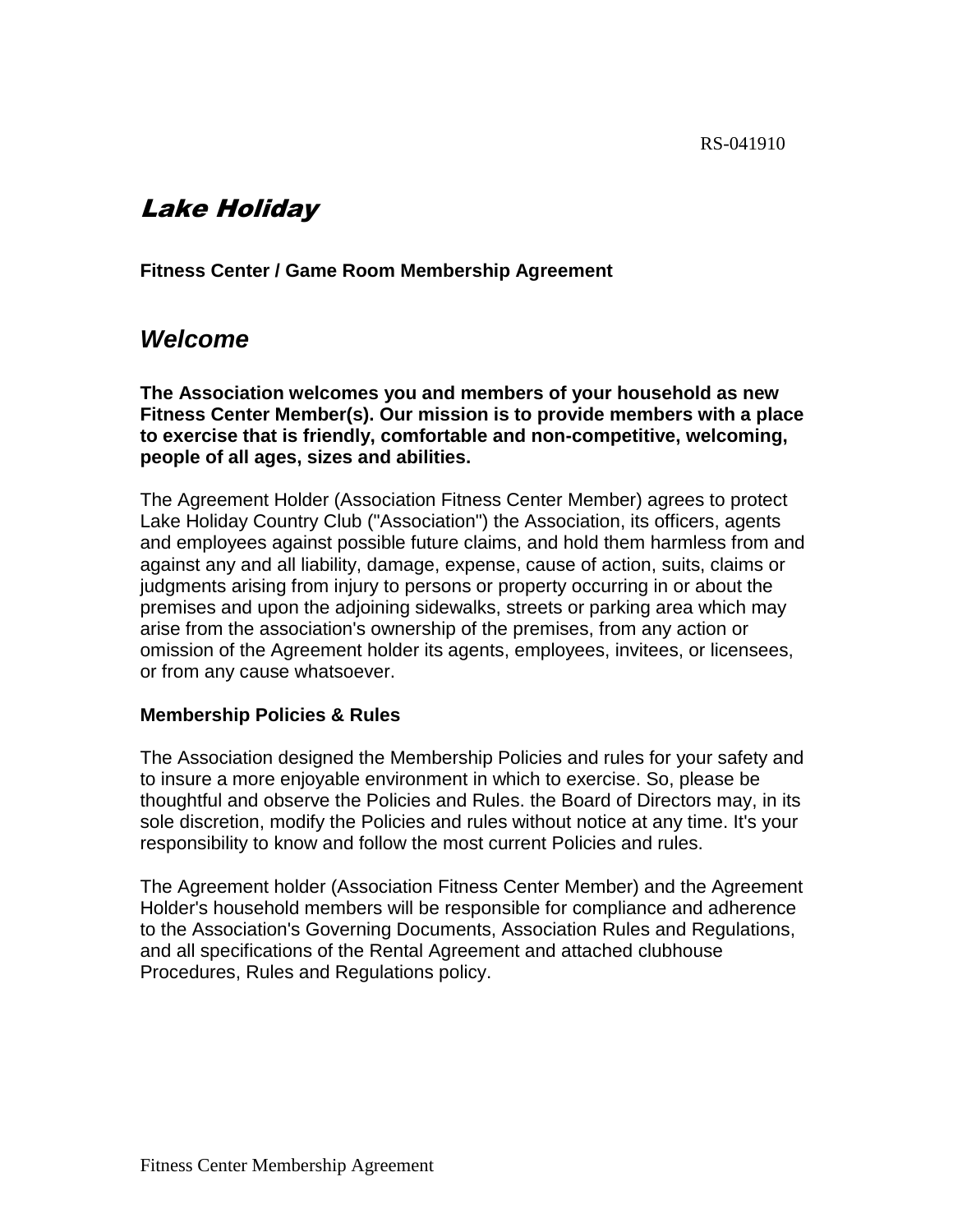# Lake Holiday

**Fitness Center / Game Room Membership Agreement**

## *Welcome*

**The Association welcomes you and members of your household as new Fitness Center Member(s). Our mission is to provide members with a place to exercise that is friendly, comfortable and non-competitive, welcoming, people of all ages, sizes and abilities.**

The Agreement Holder (Association Fitness Center Member) agrees to protect Lake Holiday Country Club ("Association") the Association, its officers, agents and employees against possible future claims, and hold them harmless from and against any and all liability, damage, expense, cause of action, suits, claims or judgments arising from injury to persons or property occurring in or about the premises and upon the adjoining sidewalks, streets or parking area which may arise from the association's ownership of the premises, from any action or omission of the Agreement holder its agents, employees, invitees, or licensees, or from any cause whatsoever.

#### **Membership Policies & Rules**

The Association designed the Membership Policies and rules for your safety and to insure a more enjoyable environment in which to exercise. So, please be thoughtful and observe the Policies and Rules. the Board of Directors may, in its sole discretion, modify the Policies and rules without notice at any time. It's your responsibility to know and follow the most current Policies and rules.

The Agreement holder (Association Fitness Center Member) and the Agreement Holder's household members will be responsible for compliance and adherence to the Association's Governing Documents, Association Rules and Regulations, and all specifications of the Rental Agreement and attached clubhouse Procedures, Rules and Regulations policy.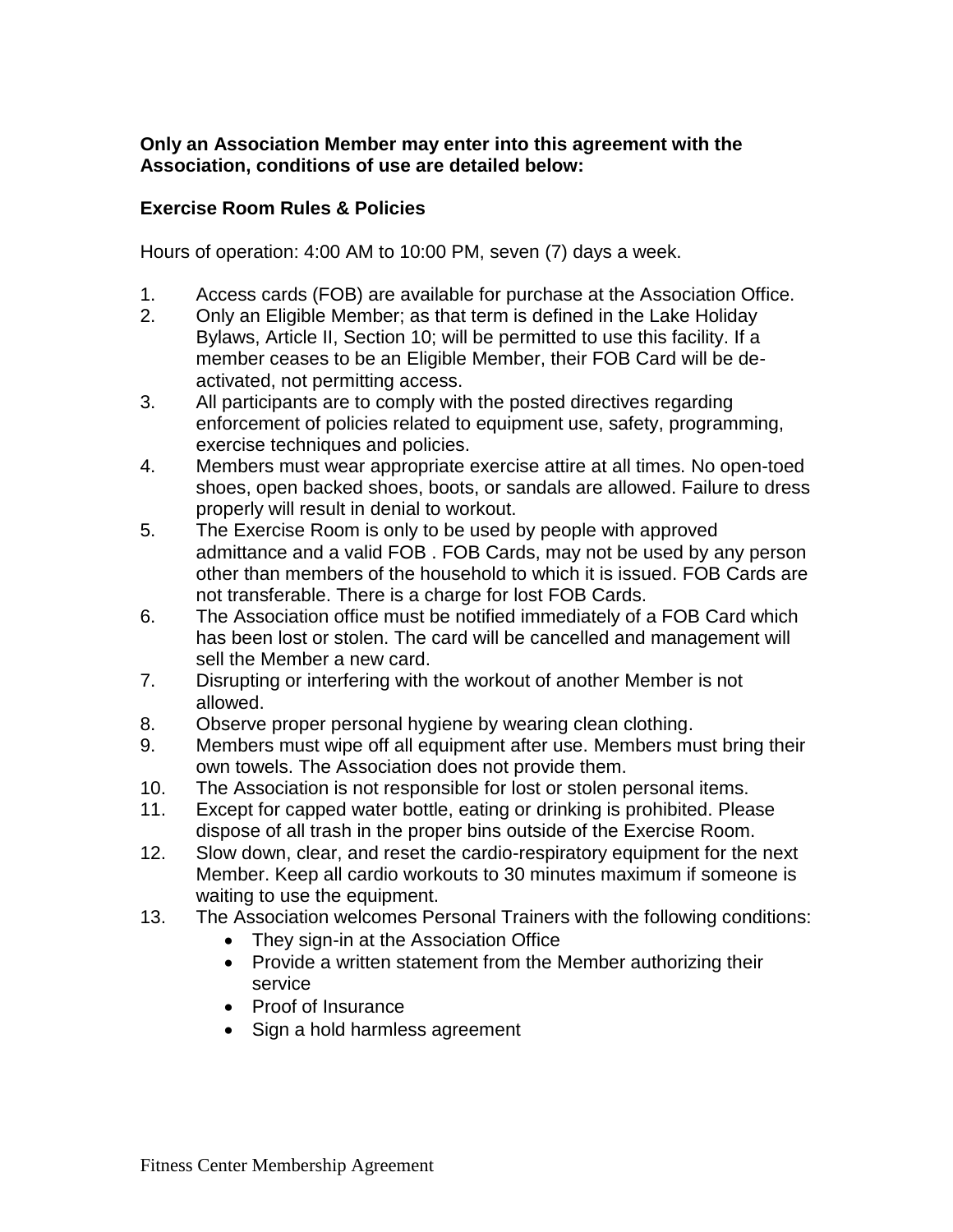### **Only an Association Member may enter into this agreement with the Association, conditions of use are detailed below:**

### **Exercise Room Rules & Policies**

Hours of operation: 4:00 AM to 10:00 PM, seven (7) days a week.

- 1. Access cards (FOB) are available for purchase at the Association Office.
- 2. Only an Eligible Member; as that term is defined in the Lake Holiday Bylaws, Article II, Section 10; will be permitted to use this facility. If a member ceases to be an Eligible Member, their FOB Card will be deactivated, not permitting access.
- 3. All participants are to comply with the posted directives regarding enforcement of policies related to equipment use, safety, programming, exercise techniques and policies.
- 4. Members must wear appropriate exercise attire at all times. No open-toed shoes, open backed shoes, boots, or sandals are allowed. Failure to dress properly will result in denial to workout.
- 5. The Exercise Room is only to be used by people with approved admittance and a valid FOB . FOB Cards, may not be used by any person other than members of the household to which it is issued. FOB Cards are not transferable. There is a charge for lost FOB Cards.
- 6. The Association office must be notified immediately of a FOB Card which has been lost or stolen. The card will be cancelled and management will sell the Member a new card.
- 7. Disrupting or interfering with the workout of another Member is not allowed.
- 8. Observe proper personal hygiene by wearing clean clothing.
- 9. Members must wipe off all equipment after use. Members must bring their own towels. The Association does not provide them.
- 10. The Association is not responsible for lost or stolen personal items.
- 11. Except for capped water bottle, eating or drinking is prohibited. Please dispose of all trash in the proper bins outside of the Exercise Room.
- 12. Slow down, clear, and reset the cardio-respiratory equipment for the next Member. Keep all cardio workouts to 30 minutes maximum if someone is waiting to use the equipment.
- 13. The Association welcomes Personal Trainers with the following conditions:
	- They sign-in at the Association Office
	- Provide a written statement from the Member authorizing their service
	- Proof of Insurance
	- Sign a hold harmless agreement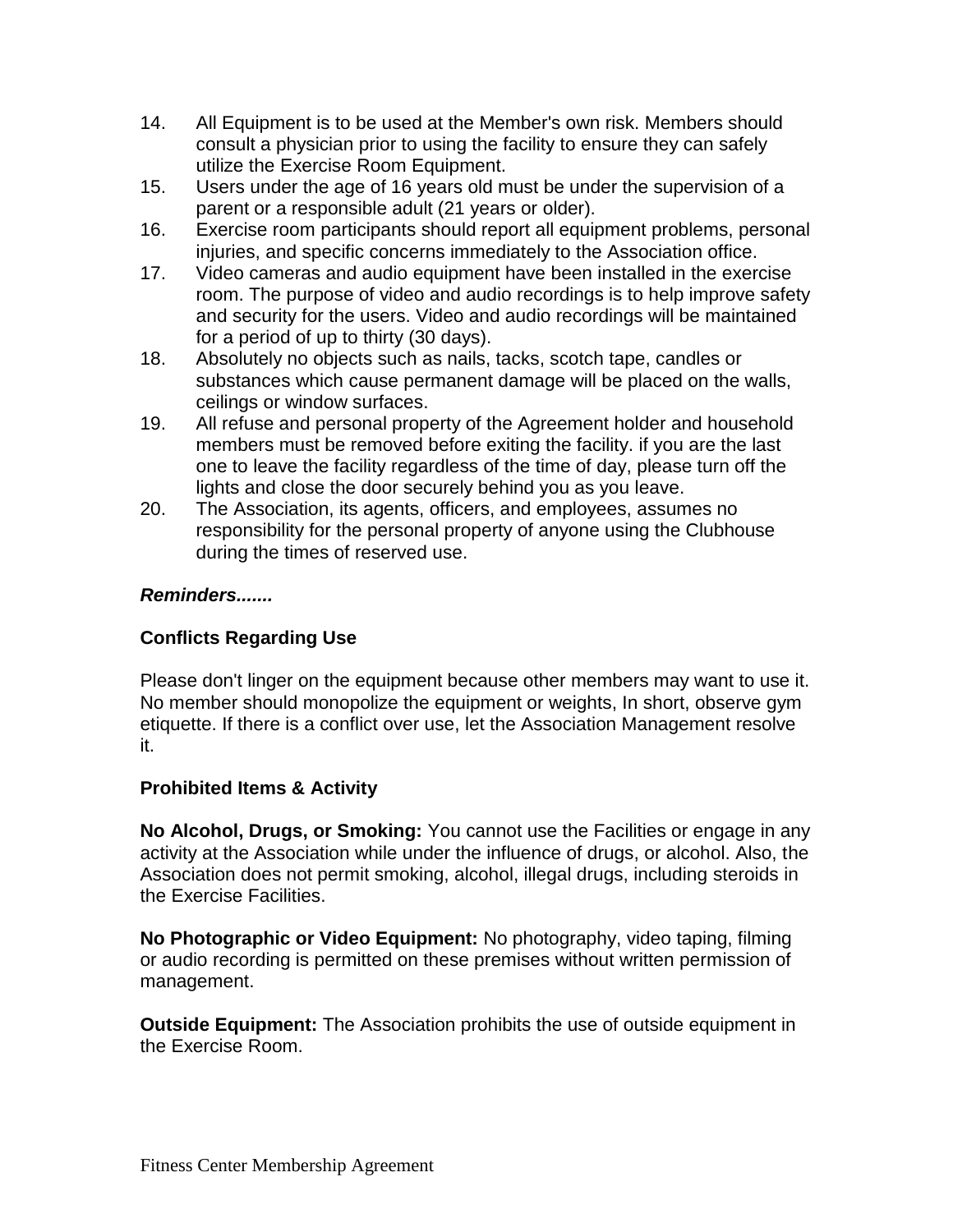- 14. All Equipment is to be used at the Member's own risk. Members should consult a physician prior to using the facility to ensure they can safely utilize the Exercise Room Equipment.
- 15. Users under the age of 16 years old must be under the supervision of a parent or a responsible adult (21 years or older).
- 16. Exercise room participants should report all equipment problems, personal injuries, and specific concerns immediately to the Association office.
- 17. Video cameras and audio equipment have been installed in the exercise room. The purpose of video and audio recordings is to help improve safety and security for the users. Video and audio recordings will be maintained for a period of up to thirty (30 days).
- 18. Absolutely no objects such as nails, tacks, scotch tape, candles or substances which cause permanent damage will be placed on the walls, ceilings or window surfaces.
- 19. All refuse and personal property of the Agreement holder and household members must be removed before exiting the facility. if you are the last one to leave the facility regardless of the time of day, please turn off the lights and close the door securely behind you as you leave.
- 20. The Association, its agents, officers, and employees, assumes no responsibility for the personal property of anyone using the Clubhouse during the times of reserved use.

### *Reminders.......*

### **Conflicts Regarding Use**

Please don't linger on the equipment because other members may want to use it. No member should monopolize the equipment or weights, In short, observe gym etiquette. If there is a conflict over use, let the Association Management resolve it.

### **Prohibited Items & Activity**

**No Alcohol, Drugs, or Smoking:** You cannot use the Facilities or engage in any activity at the Association while under the influence of drugs, or alcohol. Also, the Association does not permit smoking, alcohol, illegal drugs, including steroids in the Exercise Facilities.

**No Photographic or Video Equipment:** No photography, video taping, filming or audio recording is permitted on these premises without written permission of management.

**Outside Equipment:** The Association prohibits the use of outside equipment in the Exercise Room.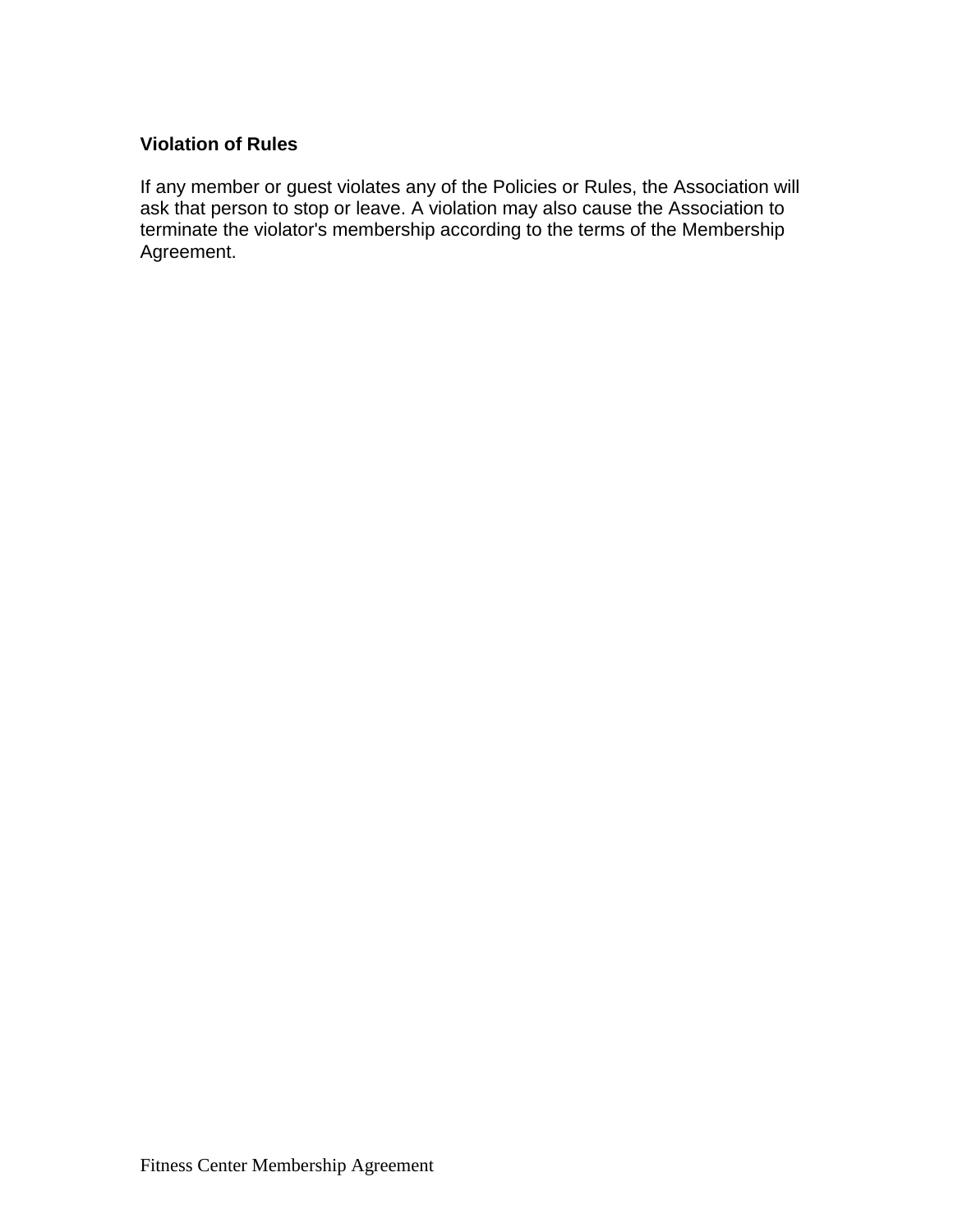#### **Violation of Rules**

If any member or guest violates any of the Policies or Rules, the Association will ask that person to stop or leave. A violation may also cause the Association to terminate the violator's membership according to the terms of the Membership Agreement.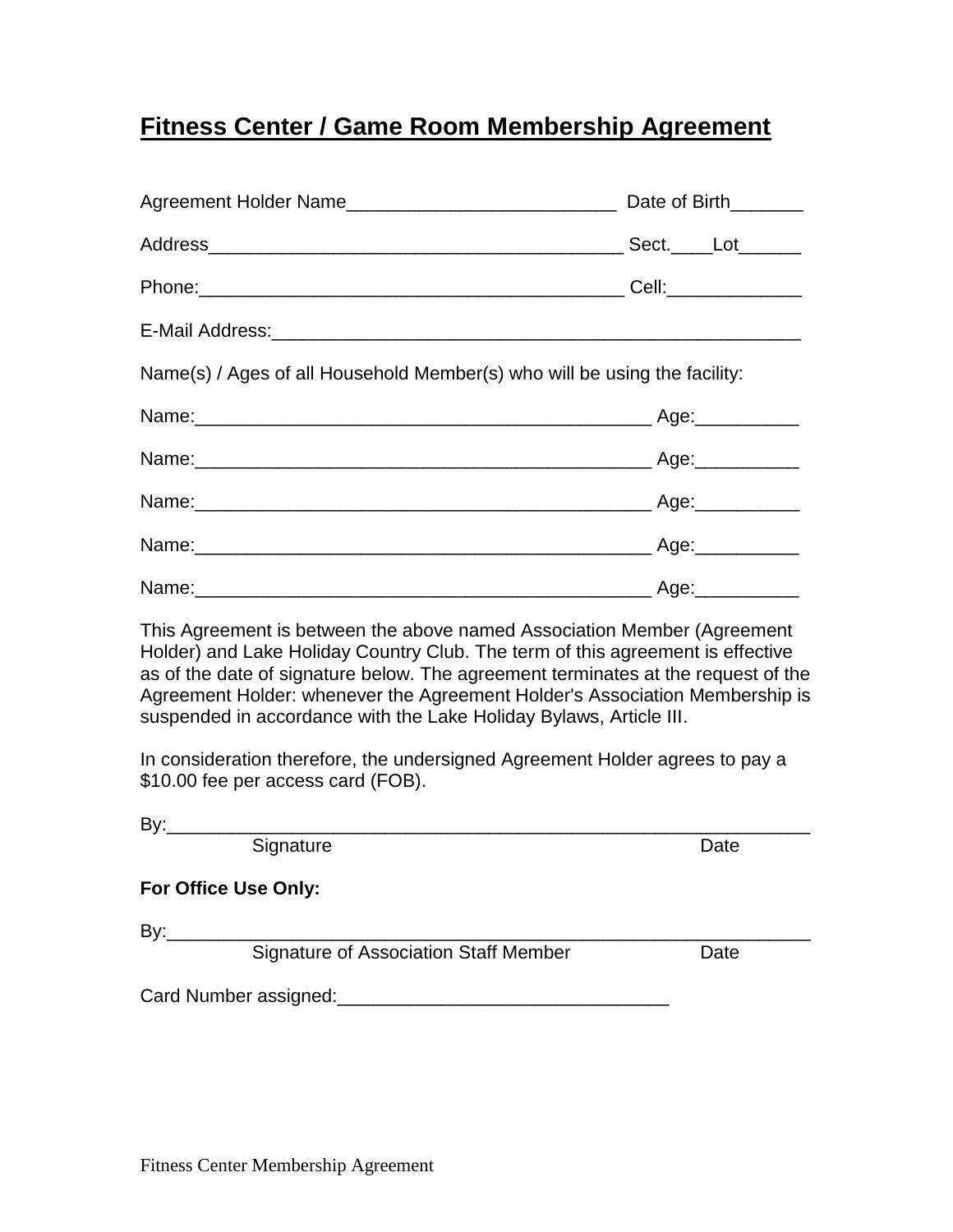# **Fitness Center / Game Room Membership Agreement**

|                                                                           | Sect._____Lot______ |
|---------------------------------------------------------------------------|---------------------|
|                                                                           |                     |
|                                                                           |                     |
| Name(s) / Ages of all Household Member(s) who will be using the facility: |                     |
|                                                                           |                     |
|                                                                           |                     |
|                                                                           |                     |
|                                                                           |                     |
|                                                                           |                     |

This Agreement is between the above named Association Member (Agreement Holder) and Lake Holiday Country Club. The term of this agreement is effective as of the date of signature below. The agreement terminates at the request of the Agreement Holder: whenever the Agreement Holder's Association Membership is suspended in accordance with the Lake Holiday Bylaws, Article III.

In consideration therefore, the undersigned Agreement Holder agrees to pay a \$10.00 fee per access card (FOB).

|--|

Signature Date Date Date

**For Office Use Only:**

 $By:$ 

Signature of Association Staff Member Date

Card Number assigned:  $\Box$